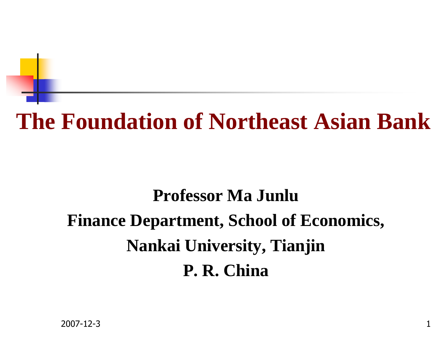# **The Foundation of Northeast Asian Bank**

## **Professor Ma JunluFinance Department, School of Economics, Nankai University, TianjinP. R. China**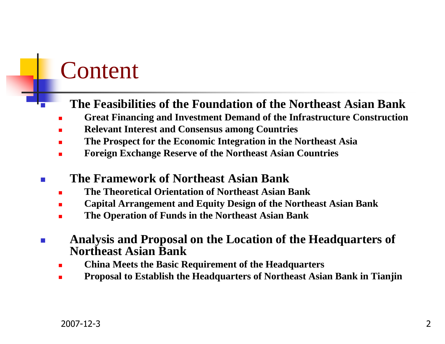## Content

Π

#### **The Feasibilities of the Foundation of the Northeast Asian Bank**

- **Great Financing and Investment Demand of the Infrastructure Construction**
- **Relevant Interest and Consensus among Countries**
- **The Prospect for the Economic Integration in the Northeast Asia**
- **Foreign Exchange Reserve of the Northeast Asian Countries**
- $\sim$  **The Framework of Northeast Asian Bank**
	- **The Theoretical Orientation of Northeast Asian Bank**
	- **Capital Arrangement and Equity Design of the Northeast Asian Bank**
	- **The Operation of Funds in the Northeast Asian Bank**
- F **Analysis and Proposal on the Location of the Headquarters of Northeast Asian Bank**
	- **China Meets the Basic Requirement of the Headquarters**
	- **Proposal to Establish the Headquarters of Northeast Asian Bank in Tianjin**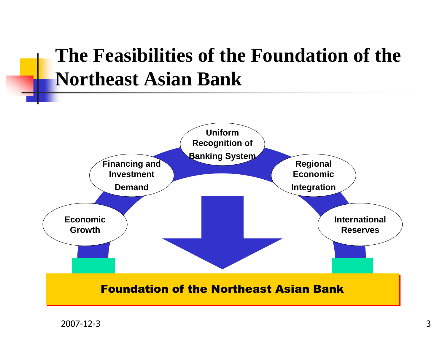### **The Feasibilities of the Foundation of the Northeast Asian Bank**

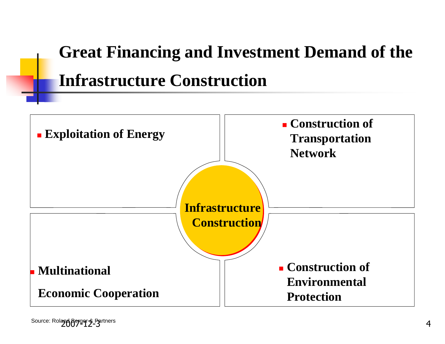# **Great Financing and Investment Demand of the Infrastructure Construction**

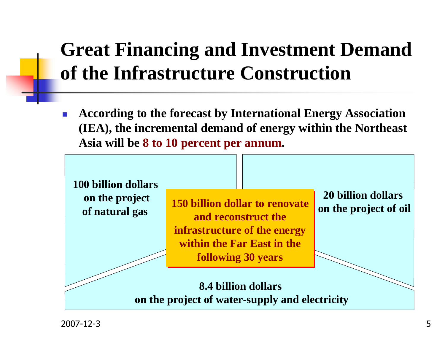## **Great Financing and Investment Demand of the Infrastructure Construction**

 $\mathcal{C}^{\mathcal{A}}$  **According to the forecast by International Energy Association (IEA), the incremental demand of energy within the Northeast Asia will be 8 to 10 percent per annum.**



2007-12-3 $\overline{3}$  5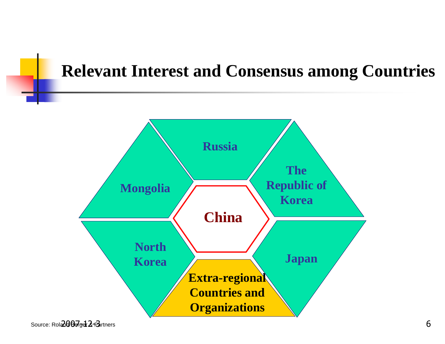#### **Relevant Interest and Consensus among Countries**



Source: Rol**ad Berger & Pa**rtners  $\mathbf F$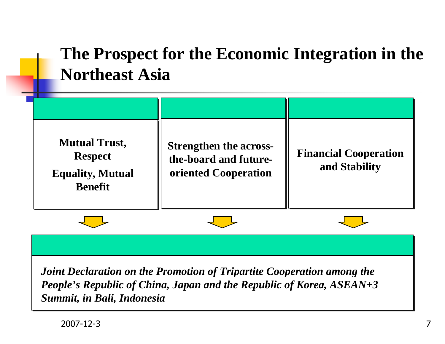### **The Prospect for the Economic Integration in the Northeast Asia**



*Joint Declaration on the Promotion of Tripartite Cooperation among the People's Republic of China, Japan and the Republic of Korea, ASEAN+3 Summit, in Bali, Indonesia*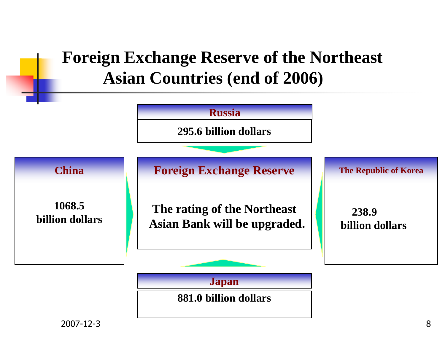#### **Foreign Exchange Reserve of the NortheastAsian Countries (end of 2006)**

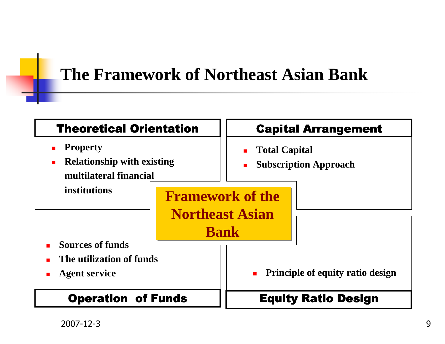#### **The Framework of Northeast Asian Bank**

| <b>Theoretical Orientation</b>                                                                        |  | <b>Capital Arrangement</b>                                       |  |
|-------------------------------------------------------------------------------------------------------|--|------------------------------------------------------------------|--|
| <b>Property</b><br>п<br><b>Relationship with existing</b><br>$\blacksquare$<br>multilateral financial |  | <b>Total Capital</b><br><b>Subscription Approach</b>             |  |
| institutions                                                                                          |  | <b>Framework of the</b><br><b>Northeast Asian</b><br><b>Bank</b> |  |
| <b>Sources of funds</b><br>The utilization of funds<br><b>Agent service</b>                           |  | <b>Principle of equity ratio design</b>                          |  |
| <b>Operation of Funds</b>                                                                             |  | <b>Equity Ratio Design</b>                                       |  |

2007-12-3 $\overline{3}$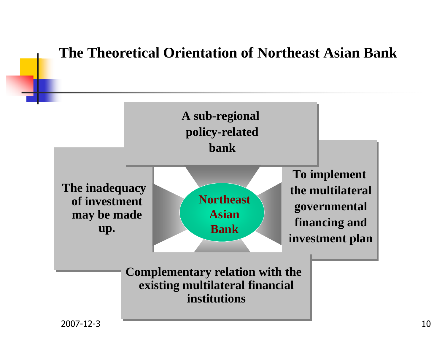#### **The Theoretical Orientation of Northeast Asian Bank**

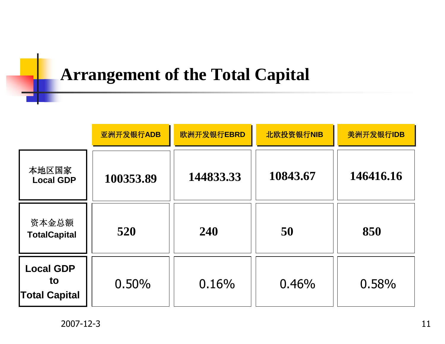### **Arrangement of the Total Capital**

|                                                | 亚洲开发银行ADB | 欧洲开发银行EBRD | 北欧投资银行NIB | 美洲开发银行IDB |
|------------------------------------------------|-----------|------------|-----------|-----------|
| 本地区国家<br><b>Local GDP</b>                      | 100353.89 | 144833.33  | 10843.67  | 146416.16 |
| 资本金总额<br><b>TotalCapital</b>                   | 520       | 240        | 50        | 850       |
| <b>Local GDP</b><br>to<br><b>Total Capital</b> | 0.50%     | 0.16%      | 0.46%     | 0.58%     |

2007-12-3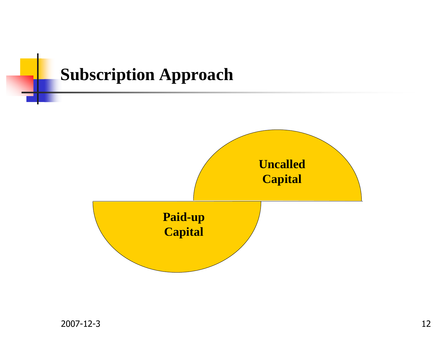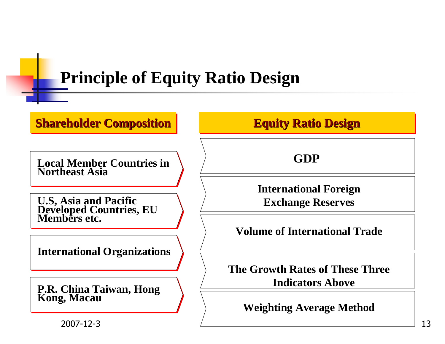### **Principle of Equity Ratio Design**

#### **Shareholder Composition**

**Local Member Countries in Northeast Asia**

**U.S, Asia and Pacific Developed Countries, EU Members etc.**

**International Organizations**

**P.R. China Taiwan, Hong Kong, Macau**

**Equity Ratio Design**

**GDP**

**International Foreign Exchange Reserves**

**Volume of International Trade**

**The Growth Rates of These Three Indicators Above**

**Weighting Average Method**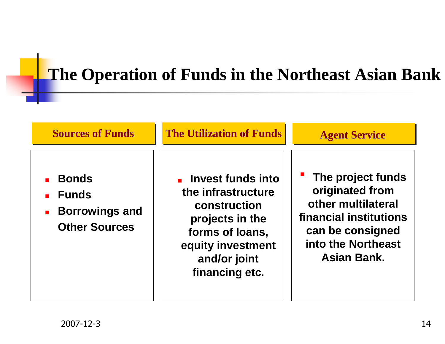### **The Operation of Funds in the Northeast Asian Bank**

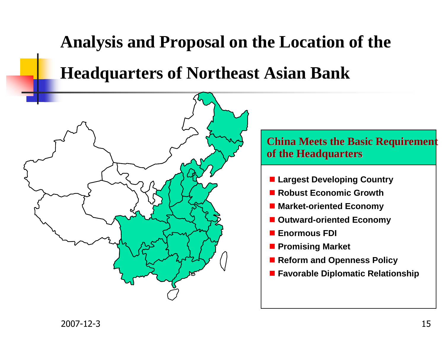# **Analysis and Proposal on the Location of the Headquarters of Northeast Asian Bank**

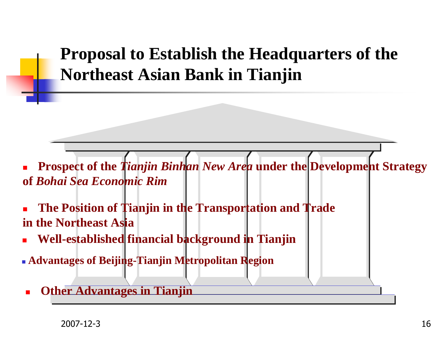**Proposal to Establish the Headquarters of the Northeast Asian Bank in Tianjin**

L. **Prospect of the** *Tianjin Binhan New Area* **under the Development Strategy of** *Bohai Sea Economic Rim*

 $\overline{\phantom{a}}$  **The Position of Tianjin in the Transportation and Trade in the Northeast Asia** 

- $\blacksquare$ **Well-established financial background in Tianjin**
- **Advantages of Beijing-Tianjin Metropolitan Region**
- × **Other Advantages in Tianjin**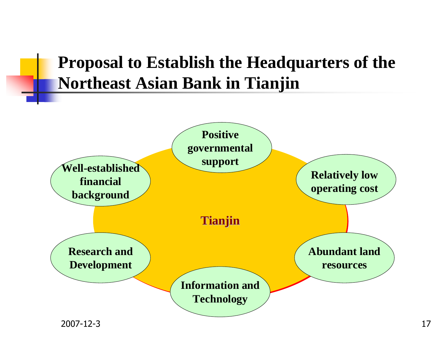#### **Proposal to Establish the Headquarters of the Northeast Asian Bank in Tianjin**